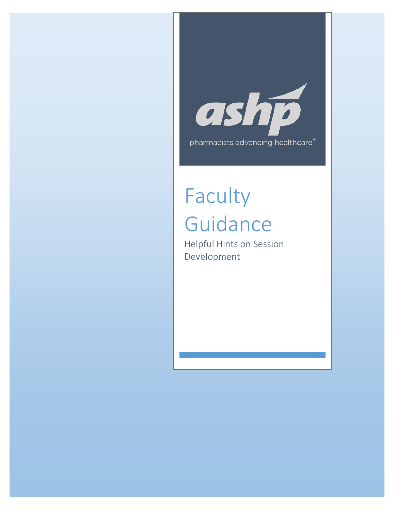

# Faculty Guidance

Helpful Hints on Session Development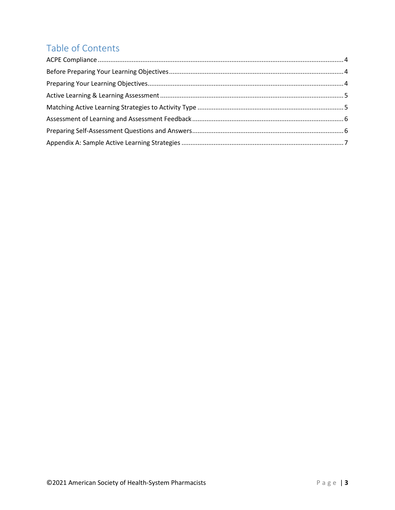## Table of Contents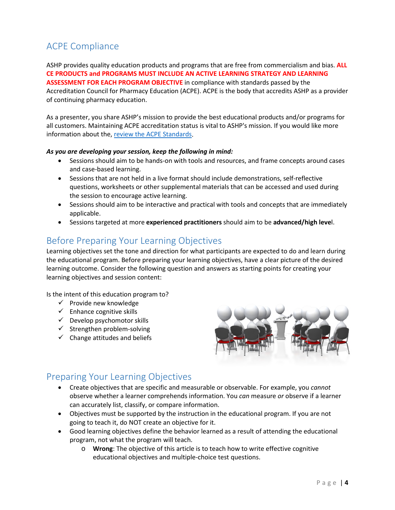## <span id="page-2-0"></span>ACPE Compliance

ASHP provides quality education products and programs that are free from commercialism and bias. **ALL CE PRODUCTS and PROGRAMS MUST INCLUDE AN ACTIVE LEARNING STRATEGY AND LEARNING ASSESSMENT FOR EACH PROGRAM OBJECTIVE** in compliance with standards passed by the Accreditation Council for Pharmacy Education (ACPE). ACPE is the body that accredits ASHP as a provider of continuing pharmacy education.

As a presenter, you share ASHP's mission to provide the best educational products and/or programs for all customers. Maintaining ACPE accreditation status is vital to ASHP's mission. If you would like more information about the[, review the ACPE Standards.](https://www.acpe-accredit.org/continuing-education-provider-accreditation/)

#### *As you are developing your session, keep the following in mind:*

- Sessions should aim to be hands-on with tools and resources, and frame concepts around cases and case-based learning.
- Sessions that are not held in a live format should include demonstrations, self-reflective questions, worksheets or other supplemental materials that can be accessed and used during the session to encourage active learning.
- Sessions should aim to be interactive and practical with tools and concepts that are immediately applicable.
- Sessions targeted at more **experienced practitioners** should aim to be **advanced/high leve**l.

#### <span id="page-2-1"></span>Before Preparing Your Learning Objectives

Learning objectives set the tone and direction for what participants are expected to do and learn during the educational program. Before preparing your learning objectives, have a clear picture of the desired learning outcome. Consider the following question and answers as starting points for creating your learning objectives and session content:

Is the intent of this education program to?

- $\checkmark$  Provide new knowledge
- $\checkmark$  Enhance cognitive skills
- $\checkmark$  Develop psychomotor skills
- $\checkmark$  Strengthen problem-solving
- $\checkmark$  Change attitudes and beliefs



#### <span id="page-2-2"></span>Preparing Your Learning Objectives

- Create objectives that are specific and measurable or observable. For example, you *cannot*  observe whether a learner comprehends information. You *can* measure *or* observe if a learner can accurately list, classify, or compare information.
- Objectives must be supported by the instruction in the educational program. If you are not going to teach it, do NOT create an objective for it.
- Good learning objectives define the behavior learned as a result of attending the educational program, not what the program will teach.
	- o **Wrong**: The objective of this article is to teach how to write effective cognitive educational objectives and multiple-choice test questions.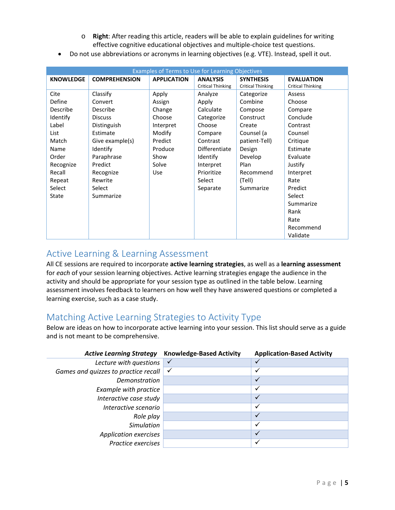- o **Right**: After reading this article, readers will be able to explain guidelines for writing effective cognitive educational objectives and multiple-choice test questions.
- Do not use abbreviations or acronyms in learning objectives (e.g. VTE). Instead, spell it out.

| Examples of Terms to Use for Learning Objectives |                      |                    |                                             |                                              |                                               |
|--------------------------------------------------|----------------------|--------------------|---------------------------------------------|----------------------------------------------|-----------------------------------------------|
| <b>KNOWLEDGE</b>                                 | <b>COMPREHENSION</b> | <b>APPLICATION</b> | <b>ANALYSIS</b><br><b>Critical Thinking</b> | <b>SYNTHESIS</b><br><b>Critical Thinking</b> | <b>EVALUATION</b><br><b>Critical Thinking</b> |
| Cite                                             | Classify             | Apply              | Analyze                                     | Categorize                                   | Assess                                        |
| Define                                           | Convert              | Assign             | Apply                                       | Combine                                      | Choose                                        |
| Describe                                         | Describe             | Change             | Calculate                                   | Compose                                      | Compare                                       |
| Identify                                         | <b>Discuss</b>       | Choose             | Categorize                                  | Construct                                    | Conclude                                      |
| Label                                            | Distinguish          | Interpret          | Choose                                      | Create                                       | Contrast                                      |
| List                                             | Estimate             | Modify             | Compare                                     | Counsel (a                                   | Counsel                                       |
| Match                                            | Give example(s)      | Predict            | Contrast                                    | patient-Tell)                                | Critique                                      |
| Name                                             | Identify             | Produce            | Differentiate                               | Design                                       | Estimate                                      |
| Order                                            | Paraphrase           | Show               | Identify                                    | Develop                                      | Evaluate                                      |
| Recognize                                        | Predict              | Solve              | Interpret                                   | Plan                                         | Justify                                       |
| Recall                                           | Recognize            | <b>Use</b>         | Prioritize                                  | Recommend                                    | Interpret                                     |
| Repeat                                           | Rewrite              |                    | Select                                      | (Tell)                                       | Rate                                          |
| Select                                           | Select               |                    | Separate                                    | Summarize                                    | Predict                                       |
| <b>State</b>                                     | Summarize            |                    |                                             |                                              | Select                                        |
|                                                  |                      |                    |                                             |                                              | Summarize                                     |
|                                                  |                      |                    |                                             |                                              | Rank                                          |
|                                                  |                      |                    |                                             |                                              | Rate                                          |
|                                                  |                      |                    |                                             |                                              | Recommend                                     |
|                                                  |                      |                    |                                             |                                              | Validate                                      |

#### <span id="page-3-0"></span>Active Learning & Learning Assessment

All CE sessions are required to incorporate **active learning strategies**, as well as a **learning assessment** for *each* of your session learning objectives. Active learning strategies engage the audience in the activity and should be appropriate for your session type as outlined in the table below. Learning assessment involves feedback to learners on how well they have answered questions or completed a learning exercise, such as a case study.

#### <span id="page-3-1"></span>Matching Active Learning Strategies to Activity Type

Below are ideas on how to incorporate active learning into your session. This list should serve as a guide and is not meant to be comprehensive.

<span id="page-3-2"></span>

| <b>Active Learning Strategy</b>      | <b>Knowledge-Based Activity</b> | <b>Application-Based Activity</b> |
|--------------------------------------|---------------------------------|-----------------------------------|
| Lecture with questions               |                                 |                                   |
| Games and quizzes to practice recall | $\checkmark$                    | ✓                                 |
| Demonstration                        |                                 | ✓                                 |
| Example with practice                |                                 | ✓                                 |
| Interactive case study               |                                 | $\checkmark$                      |
| Interactive scenario                 |                                 | ✓                                 |
| Role play                            |                                 | $\checkmark$                      |
| <b>Simulation</b>                    |                                 | ✓                                 |
| <b>Application exercises</b>         |                                 | $\checkmark$                      |
| Practice exercises                   |                                 | ✓                                 |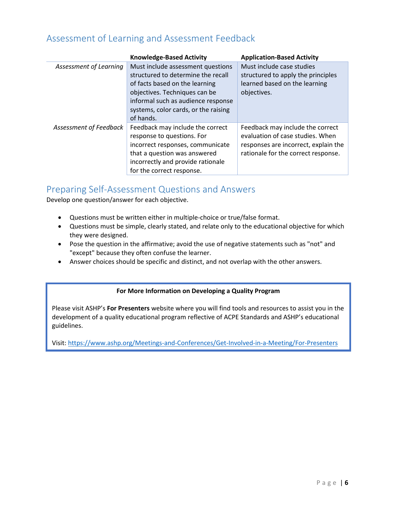### Assessment of Learning and Assessment Feedback

|                        | <b>Knowledge-Based Activity</b>      | <b>Application-Based Activity</b>    |
|------------------------|--------------------------------------|--------------------------------------|
| Assessment of Learning | Must include assessment questions    | Must include case studies            |
|                        | structured to determine the recall   | structured to apply the principles   |
|                        | of facts based on the learning       | learned based on the learning        |
|                        | objectives. Techniques can be        | objectives.                          |
|                        | informal such as audience response   |                                      |
|                        | systems, color cards, or the raising |                                      |
|                        | of hands.                            |                                      |
| Assessment of Feedback | Feedback may include the correct     | Feedback may include the correct     |
|                        | response to questions. For           | evaluation of case studies. When     |
|                        | incorrect responses, communicate     | responses are incorrect, explain the |
|                        | that a question was answered         | rationale for the correct response.  |
|                        | incorrectly and provide rationale    |                                      |
|                        | for the correct response.            |                                      |

#### <span id="page-4-0"></span>Preparing Self-Assessment Questions and Answers

Develop one question/answer for each objective.

- Questions must be written either in multiple-choice or true/false format.
- Questions must be simple, clearly stated, and relate only to the educational objective for which they were designed.
- Pose the question in the affirmative; avoid the use of negative statements such as "not" and "except" because they often confuse the learner.
- Answer choices should be specific and distinct, and not overlap with the other answers.

#### **For More Information on Developing a Quality Program**

Please visit ASHP's **For Presenters** website where you will find tools and resources to assist you in the development of a quality educational program reflective of ACPE Standards and ASHP's educational guidelines.

Visit:<https://www.ashp.org/Meetings-and-Conferences/Get-Involved-in-a-Meeting/For-Presenters>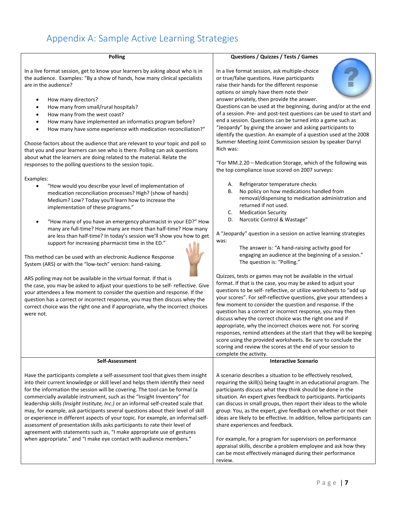# <span id="page-5-0"></span>Appendix A: Sample Active Learning Strategies

| <b>Polling</b>                                                                                                                                                                                                                                                                                                                                                                                                                                                                                                                                                                                                                                                                                                                                                                                                                                                                                                                                                                                                                                                     | Questions / Quizzes / Tests / Games                                                                                                                                                                                                                                                                                                                                                                                                                                                                                                                                                                                                                                                                                                                                                                                                                                                                                                                                                                                                                                                                                                                                                                                                      |
|--------------------------------------------------------------------------------------------------------------------------------------------------------------------------------------------------------------------------------------------------------------------------------------------------------------------------------------------------------------------------------------------------------------------------------------------------------------------------------------------------------------------------------------------------------------------------------------------------------------------------------------------------------------------------------------------------------------------------------------------------------------------------------------------------------------------------------------------------------------------------------------------------------------------------------------------------------------------------------------------------------------------------------------------------------------------|------------------------------------------------------------------------------------------------------------------------------------------------------------------------------------------------------------------------------------------------------------------------------------------------------------------------------------------------------------------------------------------------------------------------------------------------------------------------------------------------------------------------------------------------------------------------------------------------------------------------------------------------------------------------------------------------------------------------------------------------------------------------------------------------------------------------------------------------------------------------------------------------------------------------------------------------------------------------------------------------------------------------------------------------------------------------------------------------------------------------------------------------------------------------------------------------------------------------------------------|
| In a live format session, get to know your learners by asking about who is in<br>the audience. Examples: "By a show of hands, how many clinical specialists<br>are in the audience?<br>How many directors?<br>$\bullet$<br>How many from small/rural hospitals?<br>٠<br>How many from the west coast?<br>٠<br>How many have implemented an informatics program before?<br>٠<br>How many have some experience with medication reconciliation?"<br>$\bullet$<br>Choose factors about the audience that are relevant to your topic and poll so<br>that you and your learners can see who is there. Polling can ask questions<br>about what the learners are doing related to the material. Relate the<br>responses to the polling questions to the session topic.                                                                                                                                                                                                                                                                                                     | In a live format session, ask multiple-choice<br>or true/false questions. Have participants<br>raise their hands for the different response<br>options or simply have them note their<br>answer privately, then provide the answer.<br>Questions can be used at the beginning, during and/or at the end<br>of a session. Pre- and post-test questions can be used to start and<br>end a session. Questions can be turned into a game such as<br>"Jeopardy" by giving the answer and asking participants to<br>identify the question. An example of a question used at the 2008<br>Summer Meeting Joint Commission session by speaker Darryl<br>Rich was:<br>"For MM.2.20 - Medication Storage, which of the following was<br>the top compliance issue scored on 2007 surveys:                                                                                                                                                                                                                                                                                                                                                                                                                                                            |
| Examples:<br>"How would you describe your level of implementation of<br>$\bullet$<br>medication reconciliation processes? High? (show of hands)<br>Medium? Low? Today you'll learn how to increase the<br>implementation of these programs."<br>"How many of you have an emergency pharmacist in your ED?" How<br>many are full-time? How many are more than half-time? How many<br>are less than half-time? In today's session we'll show you how to get<br>support for increasing pharmacist time in the ED."<br>This method can be used with an electronic Audience Response<br>System (ARS) or with the "low-tech" version: hand-raising.<br>ARS polling may not be available in the virtual format. If that is<br>the case, you may be asked to adjust your questions to be self- reflective. Give<br>your attendees a few moment to consider the question and response. If the<br>question has a correct or incorrect response, you may then discuss whey the<br>correct choice was the right one and if appropriate, why the incorrect choices<br>were not. | Refrigerator temperature checks<br>Α.<br>No policy on how medications handled from<br>В.<br>removal/dispensing to medication administration and<br>returned if not used.<br><b>Medication Security</b><br>C.<br>Narcotic Control & Wastage"<br>D.<br>A "Jeopardy" question in a session on active learning strategies<br>was:<br>The answer is: "A hand-raising activity good for<br>engaging an audience at the beginning of a session."<br>The question is: "Polling."<br>Quizzes, tests or games may not be available in the virtual<br>format. If that is the case, you may be asked to adjust your<br>questions to be self- reflective, or utilize worksheets to "add up<br>your scores". For self-reflective questions, give your attendees a<br>few moment to consider the question and response. If the<br>question has a correct or incorrect response, you may then<br>discuss whey the correct choice was the right one and if<br>appropriate, why the incorrect choices were not. For scoring<br>responses, remind attendees at the start that they will be keeping<br>score using the provided worksheets. Be sure to conclude the<br>scoring and review the scores at the end of your session to<br>complete the activity. |
| Self-Assessment                                                                                                                                                                                                                                                                                                                                                                                                                                                                                                                                                                                                                                                                                                                                                                                                                                                                                                                                                                                                                                                    | <b>Interactive Scenario</b>                                                                                                                                                                                                                                                                                                                                                                                                                                                                                                                                                                                                                                                                                                                                                                                                                                                                                                                                                                                                                                                                                                                                                                                                              |
| Have the participants complete a self-assessment tool that gives them insight<br>into their current knowledge or skill level and helps them identify their need<br>for the information the session will be covering. The tool can be formal (a<br>commercially available instrument, such as the "Insight Inventory" for<br>leadership skills (Insight Institute, Inc.) or an informal self-created scale that<br>may, for example, ask participants several questions about their level of skill<br>or experience in different aspects of your topic. For example, an informal self-<br>assessment of presentation skills asks participants to rate their level of<br>agreement with statements such as, "I make appropriate use of gestures<br>when appropriate." and "I make eye contact with audience members."                                                                                                                                                                                                                                                | A scenario describes a situation to be effectively resolved,<br>requiring the skill(s) being taught in an educational program. The<br>participants discuss what they think should be done in the<br>situation. An expert gives feedback to participants. Participants<br>can discuss in small groups, then report their ideas to the whole<br>group. You, as the expert, give feedback on whether or not their<br>ideas are likely to be effective. In addition, fellow participants can<br>share experiences and feedback.<br>For example, for a program for supervisors on performance<br>appraisal skills, describe a problem employee and ask how they<br>can be most effectively managed during their performance<br>review.                                                                                                                                                                                                                                                                                                                                                                                                                                                                                                        |